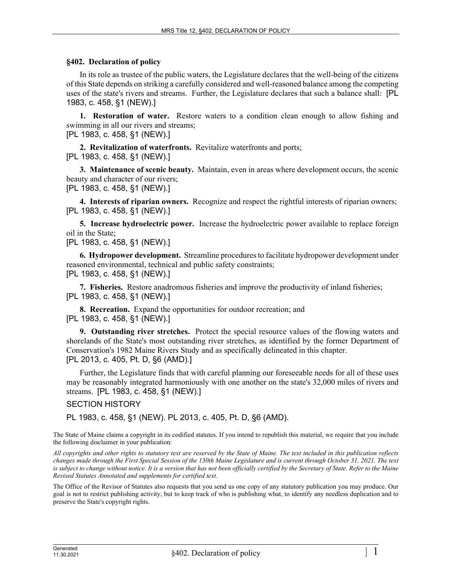## **§402. Declaration of policy**

In its role as trustee of the public waters, the Legislature declares that the well-being of the citizens of this State depends on striking a carefully considered and well-reasoned balance among the competing uses of the state's rivers and streams. Further, the Legislature declares that such a balance shall: [PL 1983, c. 458, §1 (NEW).]

**1. Restoration of water.** Restore waters to a condition clean enough to allow fishing and swimming in all our rivers and streams;

[PL 1983, c. 458, §1 (NEW).]

**2. Revitalization of waterfronts.** Revitalize waterfronts and ports; [PL 1983, c. 458, §1 (NEW).]

**3. Maintenance of scenic beauty.** Maintain, even in areas where development occurs, the scenic beauty and character of our rivers; [PL 1983, c. 458, §1 (NEW).]

**4. Interests of riparian owners.** Recognize and respect the rightful interests of riparian owners; [PL 1983, c. 458, §1 (NEW).]

**5. Increase hydroelectric power.** Increase the hydroelectric power available to replace foreign oil in the State;

[PL 1983, c. 458, §1 (NEW).]

**6. Hydropower development.** Streamline procedures to facilitate hydropower development under reasoned environmental, technical and public safety constraints; [PL 1983, c. 458, §1 (NEW).]

**7. Fisheries.** Restore anadromous fisheries and improve the productivity of inland fisheries; [PL 1983, c. 458, §1 (NEW).]

**8. Recreation.** Expand the opportunities for outdoor recreation; and [PL 1983, c. 458, §1 (NEW).]

**9. Outstanding river stretches.** Protect the special resource values of the flowing waters and shorelands of the State's most outstanding river stretches, as identified by the former Department of Conservation's 1982 Maine Rivers Study and as specifically delineated in this chapter. [PL 2013, c. 405, Pt. D, §6 (AMD).]

Further, the Legislature finds that with careful planning our foreseeable needs for all of these uses may be reasonably integrated harmoniously with one another on the state's 32,000 miles of rivers and streams. [PL 1983, c. 458, §1 (NEW).]

SECTION HISTORY

PL 1983, c. 458, §1 (NEW). PL 2013, c. 405, Pt. D, §6 (AMD).

The State of Maine claims a copyright in its codified statutes. If you intend to republish this material, we require that you include the following disclaimer in your publication:

*All copyrights and other rights to statutory text are reserved by the State of Maine. The text included in this publication reflects changes made through the First Special Session of the 130th Maine Legislature and is current through October 31, 2021. The text*  is subject to change without notice. It is a version that has not been officially certified by the Secretary of State. Refer to the Maine *Revised Statutes Annotated and supplements for certified text.*

The Office of the Revisor of Statutes also requests that you send us one copy of any statutory publication you may produce. Our goal is not to restrict publishing activity, but to keep track of who is publishing what, to identify any needless duplication and to preserve the State's copyright rights.